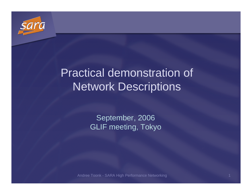

# Practical demonstration of Network Descriptions

September, 2006GLIF meeting, Tokyo

Andree Toonk - SARA High Performance Networkingdiscovered the control of the control of the control of the control of the control of the control of the control of the control of the control of the control of the control of the control of the control of the control of t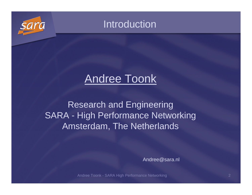

### Introduction

# Andree Toonk

Research and Engineering SARA - High Performance Networking Amsterdam, The Netherlands

Andree@sara.nl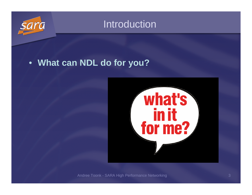

### Introduction

### • **What can NDL do for you?**

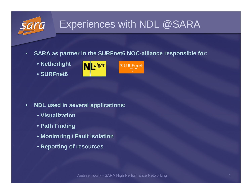# Experiences with NDL @SARA

- • **SARA as partner in the SURFnet6 NOC-alliance responsible for:**
	- **Netherlight**
	- **SURFnet6**





- • **NDL used in several applications:**
	- **Visualization**
	- **Path Finding**
	- **Monitoring / Fault isolation**
	- **Reporting of resources**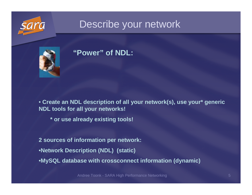

### Describe your network



### **"Power" of NDL:**

• **Create an NDL description of all your network(s), use your\* generic NDL tools for all your networks!**

**\* or use already existing tools!** 

**2 sources of information per network:**•**Network Description (NDL) (static)**•**MySQL database with crossconnect information (dynamic)**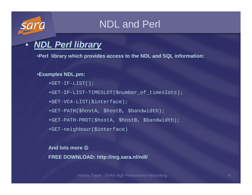### NDL and Perl

### •**NDL Perl library**

•**Perl library which provides access to the NDL and SQL information:**

### •**Examples NDL.pm:**

- •GET-IF-LIST();
- •GET-IF-LIST-TIMESLOT(\$number\_of\_timeslots);
- •GET-VC4-LIST(\$interface);
- •GET-PATH(\$hostA, \$hostB, \$bandwidth);
- •GET-PATH-PROT(\$hostA, \$hostB, \$bandwidth);
- •GET-neighbour(\$interface)

**And lots more** ☺**FREE DOWNLOAD: http://nrg.sara.nl/ndl/**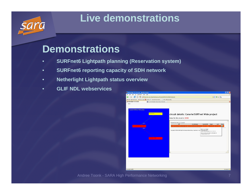### **Live demonstrations**

### **Demonstrations**

- •**SURFnet6 Lightpath planning (Reservation system)**
- •**SURFnet6 reporting capacity of SDH network**
- •**Netherlight Lightpath status overview**
- •**GLIF NDL webservices**

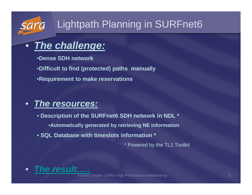# Lightpath Planning in SURFnet6

### **The challenge:**

•**Dense SDH network**

 $\bullet$ 

•**Difficult to find (protected) paths manually**

•**Requirement to make reservations**

#### •**The resources:**

- **Description of the SURFnet6 SDH network in NDL \***
	- •**Automatically generated by retrieving NE information**
- **SQL Database with timeslots information \***

\* Powered by the TL1 Toolkit

•**The result…..**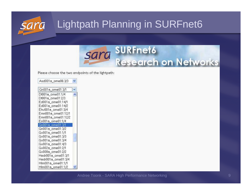



Please choose the two endpoints of the lightpath:

 $\checkmark$ 

| Asd001a_ome06:3/3 |  |
|-------------------|--|
|-------------------|--|

| Gn001a_ome01:3/1   |  |
|--------------------|--|
| Dt001a_ome01:1/4   |  |
| Dt001a_ome01:2/3   |  |
| Ed001a_ome01:14/1  |  |
| Ed001a_ome01:14/2  |  |
| Ehv001a_ome01:3/4  |  |
| Emn001a_ome01:12/1 |  |
| Emn001a_ome01:12/2 |  |
| Es001a_ome01:1/4   |  |
| Gn001a_ome01:3/1   |  |
| Gn001a_ome01:3/2   |  |
| Gv001a_ome01:1/1   |  |
| Gv001a_ome01:3/3   |  |
| Gv001a_ome01:3/4   |  |
| Gv001a_ome01:4/3   |  |
| Gv002a_ome01:2/1   |  |
| Gv008a_ome01:2/2   |  |
| Hedr001a_ome01:3/1 |  |
| Hedr001a_ome01:3/4 |  |
| Him001a_ome01:1/1  |  |
| Hlm001a_ome01:1/2  |  |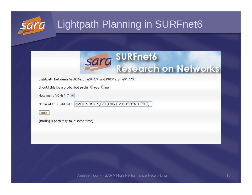# Lightpath Planning in SURFnet6



Lightpath between Asd001a\_ome04:1/4 and Rt001a\_ome01:1/3:

Should this be a protected path? ⊕yes Ono

How many VC-4s? 7 V

Name of this lightpath: Asd001a-Rt001a\_GE1(THIS IS A GLIF DEMO TEST)

next

(finding a path may take some time)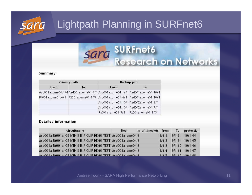# Lightpath Planning in SURFnet6



#### Summary

| Primary path |    | <b>Backup path</b>                                                     |                   |  |  |
|--------------|----|------------------------------------------------------------------------|-------------------|--|--|
| From         | To | From                                                                   | To                |  |  |
|              |    | Asd001a_ome04:1/4 Asd001a_ome04:9/1 Asd001a_ome04:1/4                  | Asd001a_ome04:10/ |  |  |
|              |    | Rt001a_ome01:6/1 Rt001a_ome01:1/3 Asd001a_ome01:6/1 Asd001a_ome01:10// |                   |  |  |
|              |    | Asd002a_ome01:10/1 Asd002a_ome01:6/1                                   |                   |  |  |
|              |    | Asd002a_ome04:10/1 Asd002a_ome04:9/1                                   |                   |  |  |
|              |    | Rt001a_ome01:9/1                                                       | Rt001a_ome01:1/3  |  |  |

#### **Detailed information**

| circuitname                                                  | Host | nr of timeslots from To protection |      |      |                       |
|--------------------------------------------------------------|------|------------------------------------|------|------|-----------------------|
| Asd001a-Rt001a_GE1(THIS IS A GLIF DEMO TEST) Asd001a_ome04 3 |      |                                    | 1/41 | 9/18 | 10/1 44               |
| Asd001a-Rt001a_GE1(THIS IS A GLIF DEMO TEST) Asd001a_ome04 3 |      |                                    | 1/47 | 9/19 | 10/145                |
| Asd001a-Rt001a_GE1(THIS IS A GLIF DEMO TEST) Asd001a_ome04 3 |      |                                    | 1/43 |      | 9/1 10 10/1 46        |
| Asd001a-Rt001a_GE1(THIS IS A GLIF DEMO TEST) Asd001a_ome04 3 |      |                                    | 1/44 |      | 9/1 11 10/1 47        |
| Asd001a-Rt001a GE1(THIS IS A GLIF DEMO TEST) Asd001a ome04.3 |      |                                    |      |      | $1/45$ 9/1 12 10/1 48 |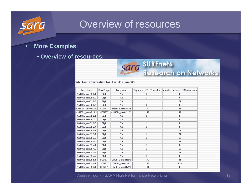

### Overview of resources

#### •**More Examples:**

### • **Overview of resources:**



### **SURFnet6 Research on Networks**

interface information for Asd001a ome05

| Interface              | Card Type    | Neigbour           |     | Capacity (STS Timeslots) number of free STS timeslots |
|------------------------|--------------|--------------------|-----|-------------------------------------------------------|
| Asd001a ome05:1/1      | GigE         | NA                 | 21  | 0                                                     |
| $Asd001a$ ome $05:1/2$ | GigE         | <b>NA</b>          | 21  | $\bf{0}$                                              |
| Asd001a_ome05:1/3      | GigE         | <b>NA</b>          | 21  | 21                                                    |
| Asd001a ome05:1/4      | GigE         | <b>NA</b>          | 21  | $\bf{0}$                                              |
| Asd001a ome05:10/1     | <b>SONET</b> | Asd001a ome01:9/1  | 192 | 84                                                    |
| Asd001a ome05:11/1     | <b>SONET</b> | Asd001a ome02:12/1 | 192 | 87                                                    |
| Asd001a_ome05:2/1      | GigE         | <b>NA</b>          | 21  | $\bf{0}$                                              |
| Asd001a ome05:2/2      | GigE         | <b>NA</b>          | 21  | 0                                                     |
| Asd001a ome05:2/3      | GigE         | NA                 | 21  | 0                                                     |
| Asd001a ome05:2/4      | GigE         | <b>NA</b>          | 21  | 0                                                     |
| Asd001a ome05:3/1      | GigE         | <b>NA</b>          | 21  | 18                                                    |
| Asd001a ome05:3/2      | GigE         | <b>NA</b>          | 21  | 21                                                    |
| Asd001a ome05:3/3      | GigE         | <b>NA</b>          | 21  | 18                                                    |
| Asd001a ome05:3/4      | GigE         | <b>NA</b>          | 21  | 21                                                    |
| Asd001a ome05:4/1      | GigE         | <b>NA</b>          | 21  | $\bf{0}$                                              |
| Asd001a ome05:4/2      | GigE         | <b>NA</b>          | 21  | 18                                                    |
| Asd001a ome05:4/3      | GigE         | <b>NA</b>          | 21  | 21                                                    |
| Asd001a ome05:4/4      | GigE         | <b>NA</b>          | 21  | $\bf{0}$                                              |
| Asd001a ome05:5/1      | <b>SONET</b> | Ddt001a ome01:6/1  | 192 | 21                                                    |
| Asd001a ome05:6/1      | <b>SONET</b> | Tb001a $ome01:6/1$ | 192 | 129                                                   |
| Asd001a ome05:9/1      | <b>SONET</b> | Ehv001a ome01:6/1  | 192 | 0                                                     |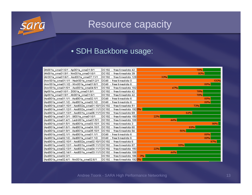

### Resource capacity

### • SDH Backbone usage:

| Ah001a_ome01:6/1 - Ap001a_ome01:9/1                                                        | l0C192 - free timeslots 42.  | 78%  |
|--------------------------------------------------------------------------------------------|------------------------------|------|
| Ah001a_ome01:9/1 - Nm001a_ome01:6/1                                                        | OC192 - free timeslots 39    | 80%  |
| Alr001a_ome01:6/1 - Asd001a_ome07:11/1                                                     | IOC192 – free timeslots 1291 | 33%  |
| Amr001a_ome01:1/1 - Hedr001a_ome01:2/1                                                     | lOC48 – free timeslots 0     | 100% |
| Amr001a ome01:1/2 - HIm001a ome01:6/1                                                      | OC48 - free timeslots 6      | 88%  |
| Amr001a_ome01:5/1 - Asd001a_ome04:5/1                                                      | lOC192 - free timeslots 102  | 47%  |
| Ap001a_ome01:6/1 - Zl001a_ome01:9/1                                                        | OC192 - free timeslots 42    | 78%  |
| Ap001a_ome01:9/1 - Ah001a_ome01:6/1                                                        | OC192 - free timeslots 42    | 78%  |
| Asd001a_ome01:1/1 - Asd001a_ome02:1/1                                                      | OC48 - free timeslots 6      | 88%  |
| Asd001a_ome01:1/2 - Asd001a_ome02:1/2                                                      | IOC48 – free timeslots 6     | 88%  |
| Asd001a_ome01:10/1 - Asd002a_ome01:10/1 OC192  -  free timeslots 51                        |                              | 73%  |
|                                                                                            |                              |      |
|                                                                                            |                              | 64%  |
| Asd001a_ome01:3/1 - Ut001a_ome01:6/1                                                       | OC192 - free timeslots 150   | 22%  |
| Asd001a ome01:4/1 - Ledn001a ome01:5/1                                                     | [OC192 - free timeslots 108] | 44%  |
| Asd001a_ome01:5/1 - Asd001a_ome03:10/1                                                     | OC192 - free timeslots 3     | 98%  |
| Asd001a ome01:6/1 - Asd001a ome04:10/1                                                     | OC192 - free timeslots 60    | 69%  |
| Asd001a_ome01:9/1 - Asd001a_ome05:10/1                                                     | IOC192 - free timeslots 84   | 56%  |
|                                                                                            | IOC48 – free timeslots 6     | 88%  |
|                                                                                            | OC48 - free timeslots 6      | 88%  |
| Asd001a_ome02:10/1 - Asd002a_ome02:10/1                           OC192 - free timeslots 6 |                              | 97%  |
| Asd001a_ome02:12/1 - Asd001a_ome05:11/1 OC192 - free timeslots 87                          |                              | 55%  |
| Asd001a_ome02:13/1 - Asd001a_ome04:11/1 OC192  -  free timeslots 150                       |                              | 22%  |
| Asd001a_ome02:14/1 - Asd001a_ome03:11/1  0C192  -  free timeslots 108                      |                              | 44%  |
| Asd001a_ome02:3/1 -                                                                        | OC192 - free timeslots 186   | 3%   |
| Asd001a_ome02:4/1 - Nm001a_ome02:6/1                                                       | OC192 - free timeslots 1920% |      |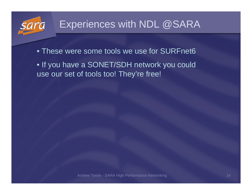

- These were some tools we use for SURFnet6
- If you have a SONET/SDH network you could use our set of tools too! They're free!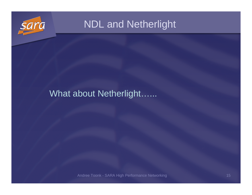

### What about Netherlight…...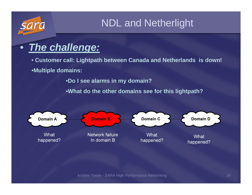### •**The challenge:**

• **Customer call: Lightpath between Canada and Netherlands is down!** •**Multiple domains:**

•**Do I see alarms in my domain?**

•**What do the other domains see for this lightpath?**

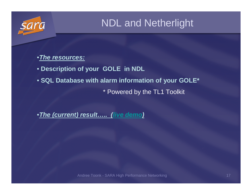

### •**The resources:**

• **Description of your GOLE in NDL** 

• **SQL Database with alarm information of your GOLE\***

\* Powered by the TL1 Toolkit

•**The (current) result….. (live demo)**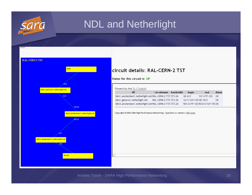

| <b>RAL-CERN-2 TST</b>                  |   |
|----------------------------------------|---|
| start                                  |   |
|                                        |   |
|                                        | s |
| -15/2                                  |   |
| tdm1.geneva1.netherlight.net           |   |
| 12/1                                   |   |
|                                        |   |
| 503/3                                  |   |
|                                        |   |
| tdm3.amsterdam1.netherlight.net        |   |
| 601/2                                  |   |
|                                        |   |
| 12/1                                   |   |
|                                        |   |
| tdm1.amsterdam1.netherlight.net<br>4/2 |   |
|                                        |   |
|                                        |   |
| <b>B-side</b>                          |   |
|                                        |   |
|                                        |   |

### circuit details: RAL-CERN-2 TST

Status for this circuit is: UP

Powerd by the TL1-Toolkit!

| NF.                                                   | circuitname bandwidth | begin                | end                           | Alarm |  |
|-------------------------------------------------------|-----------------------|----------------------|-------------------------------|-------|--|
| tdm1.amsterdam1.netherlight.net RAL-CERN-2 TST STS-24 |                       | GE 4/2               | 12/1/97-120                   | -lok  |  |
| tdm1.geneva1.netherlight.net                          | RAL-CERN-2 TST STS-24 | 12/1/169-192 GE 15/2 |                               | ОК    |  |
| tdm3.amsterdam1.netherlight.net RAL-CERN-2 TST STS-24 |                       |                      | 501/2/97-120 503/3/169-192 OK |       |  |

Copyright © 2006 SARA High Performance Networking - Questions or remarks: NRG-team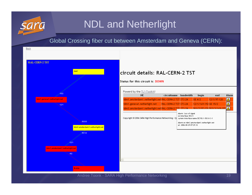

Global Crossing fiber cut between Amsterdam and Geneva (CERN):

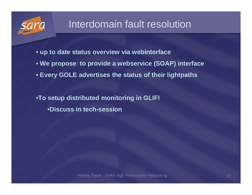

### Interdomain fault resolution

- **up to date status overview via webinterface**
- **We propose to provide a webservice (SOAP) interface**
- **Every GOLE advertises the status of their lightpaths**

•**To setup distributed monitoring in GLIF!** •**Discuss in tech-session**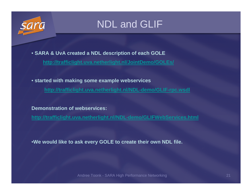

### NDL and GLIF

• **SARA & UvA created a NDL description of each GOLE**

**http://trafficlight.uva.netherlight.nl/JointDemo/GOLEs/**

• **started with making some example webservices**

**http://trafficlight.uva.netherlight.nl/NDL-demo/GLIF-rpc.wsdl**

**Demonstration of webservices:**

**http://trafficlight.uva.netherlight.nl/NDL-demo/GLIFWebServices.html**

•**We would like to ask every GOLE to create their own NDL file.**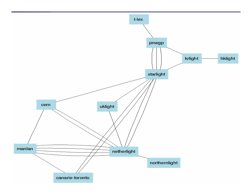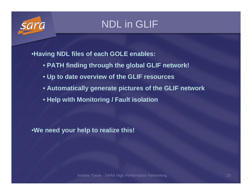

### NDL in GLIF

•**Having NDL files of each GOLE enables:**

- **PATH finding through the global GLIF network!**
- **Up to date overview of the GLIF resources**
- **Automatically generate pictures of the GLIF network**
- **Help with Monitoring / Fault isolation**

•**We need your help to realize this!**